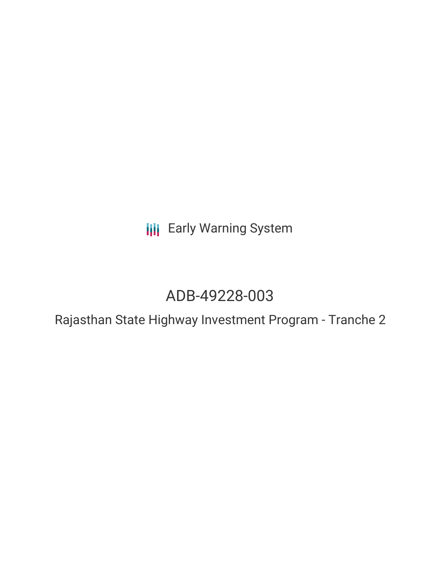**III** Early Warning System

# ADB-49228-003

Rajasthan State Highway Investment Program - Tranche 2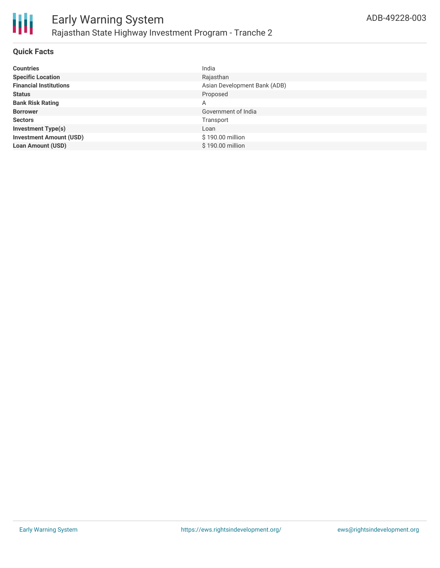

#### **Quick Facts**

| <b>Countries</b>               | India                        |
|--------------------------------|------------------------------|
| <b>Specific Location</b>       | Rajasthan                    |
| <b>Financial Institutions</b>  | Asian Development Bank (ADB) |
| <b>Status</b>                  | Proposed                     |
| <b>Bank Risk Rating</b>        | A                            |
| <b>Borrower</b>                | Government of India          |
| <b>Sectors</b>                 | Transport                    |
| <b>Investment Type(s)</b>      | Loan                         |
| <b>Investment Amount (USD)</b> | \$190.00 million             |
| <b>Loan Amount (USD)</b>       | \$190.00 million             |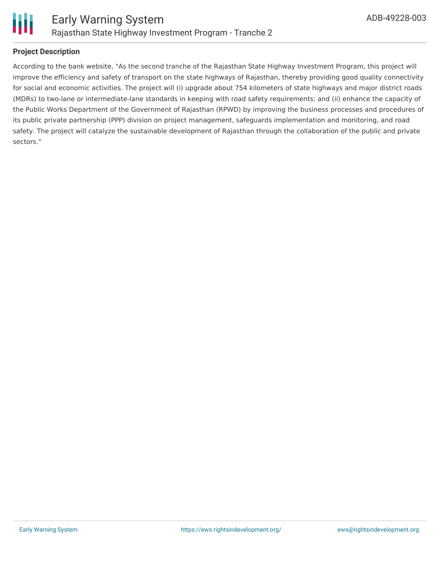

# **Project Description**

According to the bank website, "As the second tranche of the Rajasthan State Highway Investment Program, this project will improve the efficiency and safety of transport on the state highways of Rajasthan, thereby providing good quality connectivity for social and economic activities. The project will (i) upgrade about 754 kilometers of state highways and major district roads (MDRs) to two-lane or intermediate-lane standards in keeping with road safety requirements; and (ii) enhance the capacity of the Public Works Department of the Government of Rajasthan (RPWD) by improving the business processes and procedures of its public private partnership (PPP) division on project management, safeguards implementation and monitoring, and road safety. The project will catalyze the sustainable development of Rajasthan through the collaboration of the public and private sectors."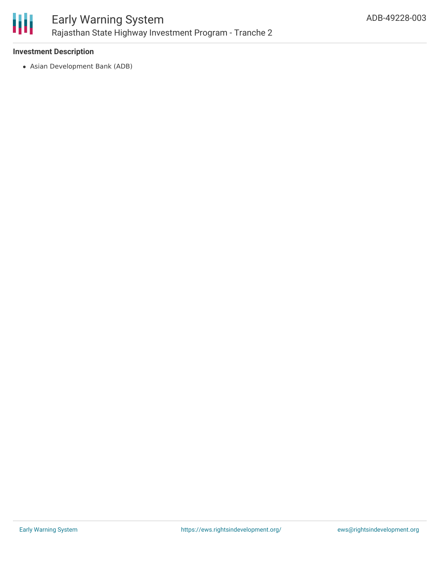

## **Investment Description**

Asian Development Bank (ADB)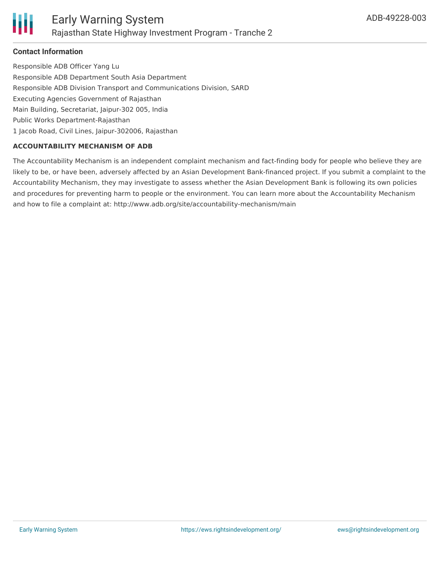

# **Contact Information**

Responsible ADB Officer Yang Lu Responsible ADB Department South Asia Department Responsible ADB Division Transport and Communications Division, SARD Executing Agencies Government of Rajasthan Main Building, Secretariat, Jaipur-302 005, India Public Works Department-Rajasthan 1 Jacob Road, Civil Lines, Jaipur-302006, Rajasthan

## **ACCOUNTABILITY MECHANISM OF ADB**

The Accountability Mechanism is an independent complaint mechanism and fact-finding body for people who believe they are likely to be, or have been, adversely affected by an Asian Development Bank-financed project. If you submit a complaint to the Accountability Mechanism, they may investigate to assess whether the Asian Development Bank is following its own policies and procedures for preventing harm to people or the environment. You can learn more about the Accountability Mechanism and how to file a complaint at: http://www.adb.org/site/accountability-mechanism/main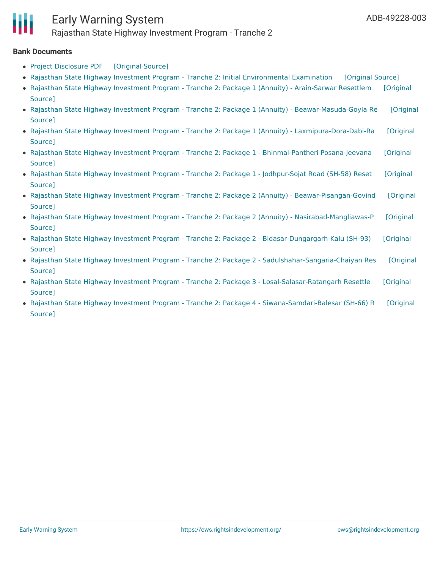#### **Bank Documents**

- Project [Disclosure](https://ewsdata.rightsindevelopment.org/files/documents/03/ADB-49228-003.pdf) PDF [\[Original](https://www.adb.org/printpdf/projects/49228-003/main) Source]
- Rajasthan State Highway Investment Program Tranche 2: Initial [Environmental](https://ewsdata.rightsindevelopment.org/files/documents/03/ADB-49228-003_Pyc0sOk.pdf) Examination [\[Original](https://www.adb.org/projects/documents/ind-49228-003-iee) Source]
- Rajasthan State Highway Investment Program Tranche 2: Package 1 (Annuity) [Arain-Sarwar](https://ewsdata.rightsindevelopment.org/files/documents/03/ADB-49228-003_8kUPXSX.pdf) Resettlem [Original Source]
- Rajasthan State Highway Investment Program Tranche 2: Package 1 (Annuity) [Beawar-Masuda-Goyla](https://ewsdata.rightsindevelopment.org/files/documents/03/ADB-49228-003_6xbG8w3.pdf) Re [Original Source]
- Rajasthan State Highway Investment Program Tranche 2: Package 1 (Annuity) [Laxmipura-Dora-Dabi-Ra](https://ewsdata.rightsindevelopment.org/files/documents/03/ADB-49228-003_mJLNOgz.pdf) [Original **Source1**
- Rajasthan State Highway Investment Program Tranche 2: Package 1 [Bhinmal-Pantheri](https://ewsdata.rightsindevelopment.org/files/documents/03/ADB-49228-003_PcbPh5L.pdf) Posana-Jeevana [Original Source]
- Rajasthan State Highway Investment Program Tranche 2: Package 1 [Jodhpur-Sojat](https://ewsdata.rightsindevelopment.org/files/documents/03/ADB-49228-003_a5LNbOz.pdf) Road (SH-58) Reset [Original Source]
- Rajasthan State Highway Investment Program Tranche 2: Package 2 (Annuity) [Beawar-Pisangan-Govind](https://ewsdata.rightsindevelopment.org/files/documents/03/ADB-49228-003_9YrNfjq.pdf) [Original Source]
- Rajasthan State Highway Investment Program Tranche 2: Package 2 (Annuity) [Nasirabad-Mangliawas-P](https://ewsdata.rightsindevelopment.org/files/documents/03/ADB-49228-003_0jhI0j1.pdf) [Original Source]
- Rajasthan State Highway Investment Program Tranche 2: Package 2 [Bidasar-Dungargarh-Kalu](https://ewsdata.rightsindevelopment.org/files/documents/03/ADB-49228-003_MMRzuGV.pdf) (SH-93) [Original Source]
- Rajasthan State Highway Investment Program Tranche 2: Package 2 [Sadulshahar-Sangaria-Chaiyan](https://ewsdata.rightsindevelopment.org/files/documents/03/ADB-49228-003_hzQ3aC4.pdf) Res [Original Source]
- Rajasthan State Highway Investment Program Tranche 2: Package 3 [Losal-Salasar-Ratangarh](https://ewsdata.rightsindevelopment.org/files/documents/03/ADB-49228-003_61Yl1dR.pdf) Resettle [Original Source]
- Rajasthan State Highway Investment Program Tranche 2: Package 4 [Siwana-Samdari-Balesar](https://ewsdata.rightsindevelopment.org/files/documents/03/ADB-49228-003_Hmc2CDz.pdf) (SH-66) R [Original Source]